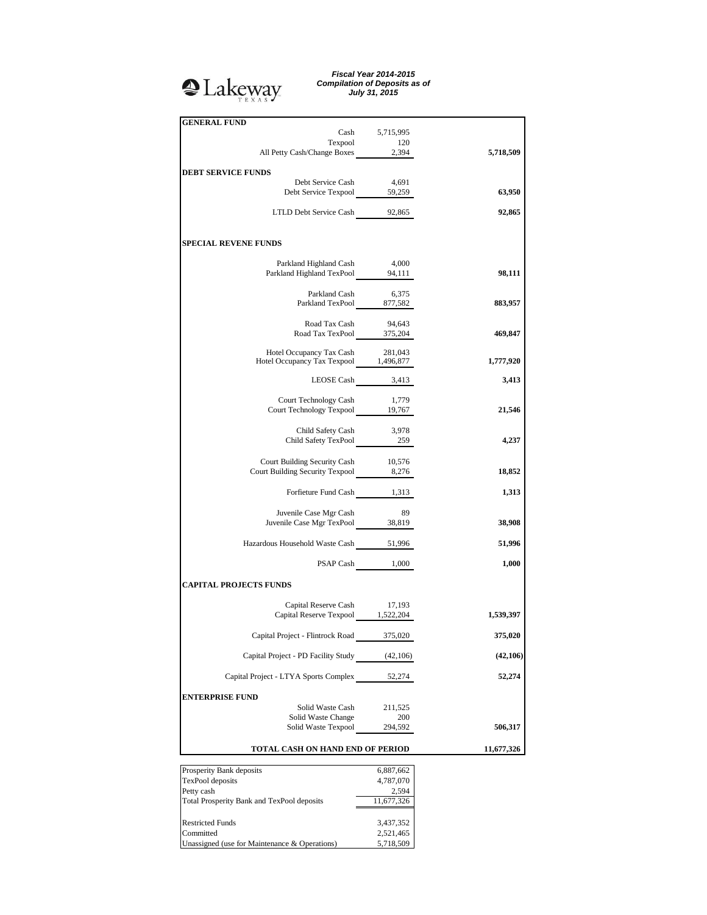

*Fiscal Year 2014-2015 Compilation of Deposits as of July 31, 2015*

| <b>GENERAL FUND</b>                                                                                                                                                                                                                                                                                                                                                                                                                                             | Cash 5,715,995         |            |
|-----------------------------------------------------------------------------------------------------------------------------------------------------------------------------------------------------------------------------------------------------------------------------------------------------------------------------------------------------------------------------------------------------------------------------------------------------------------|------------------------|------------|
| Texpool 120<br>All Petty Cash/Change Boxes 2,394                                                                                                                                                                                                                                                                                                                                                                                                                |                        |            |
|                                                                                                                                                                                                                                                                                                                                                                                                                                                                 |                        | 5,718,509  |
| <b>DEBT SERVICE FUNDS</b>                                                                                                                                                                                                                                                                                                                                                                                                                                       |                        |            |
| Debt Service Cash<br>Debt Service Texpool 59,259                                                                                                                                                                                                                                                                                                                                                                                                                | 4,691                  | 63,950     |
| LTLD Debt Service Cash 92,865                                                                                                                                                                                                                                                                                                                                                                                                                                   |                        | 92,865     |
| <b>SPECIAL REVENE FUNDS</b>                                                                                                                                                                                                                                                                                                                                                                                                                                     |                        |            |
| $\begin{tabular}{l l l l} \multicolumn{2}{c}{\textbf{Parkland Highland Cash}} & \multicolumn{2}{c}{\textbf{4,000}} \\ \multicolumn{2}{c}{\textbf{Parkland Highland TexPool}} & \multicolumn{2}{c}{\textbf{94,111}} \\ \multicolumn{2}{c}{\textbf{94,111}} & \multicolumn{2}{c}{\textbf{94,111}} \\ \multicolumn{2}{c}{\textbf{94,111}} & \multicolumn{2}{c}{\textbf{94,111}} \\ \multicolumn{2}{c}{\textbf{94,111}} & \multicolumn{2}{c}{\textbf{94,111}} \\ \$ |                        | 98,111     |
|                                                                                                                                                                                                                                                                                                                                                                                                                                                                 |                        |            |
| Parkland Cash 6,375<br>Parkland TexPool 877,582                                                                                                                                                                                                                                                                                                                                                                                                                 |                        | 883,957    |
| Road Tax Cash                                                                                                                                                                                                                                                                                                                                                                                                                                                   | 94,643                 |            |
| Road Tax TexPool 375,204                                                                                                                                                                                                                                                                                                                                                                                                                                        |                        | 469,847    |
| Hotel Occupancy Tax Cash 281,043<br>Hotel Occupancy Tax Texpool 1,496,877                                                                                                                                                                                                                                                                                                                                                                                       |                        | 1,777,920  |
|                                                                                                                                                                                                                                                                                                                                                                                                                                                                 | LEOSE Cash 3,413       | 3,413      |
| Court Technology Cash 1,779<br>Court Technology Texpool 19,767                                                                                                                                                                                                                                                                                                                                                                                                  |                        |            |
|                                                                                                                                                                                                                                                                                                                                                                                                                                                                 |                        | 21,546     |
| Child Safety Cash 3,978<br>Child Safety TexPool 259                                                                                                                                                                                                                                                                                                                                                                                                             |                        | 4,237      |
| Court Building Security Cash 10,576                                                                                                                                                                                                                                                                                                                                                                                                                             |                        | 18,852     |
| Court Building Security Texpool 8,276<br>Forfieture Fund Cash 1,313                                                                                                                                                                                                                                                                                                                                                                                             |                        | 1,313      |
|                                                                                                                                                                                                                                                                                                                                                                                                                                                                 |                        |            |
| Juvenile Case Mgr Cash<br>Juvenile Case Mgr TexPool 38,819                                                                                                                                                                                                                                                                                                                                                                                                      | 89                     | 38,908     |
| Hazardous Household Waste Cash 51,996                                                                                                                                                                                                                                                                                                                                                                                                                           |                        | 51,996     |
|                                                                                                                                                                                                                                                                                                                                                                                                                                                                 | PSAP Cash 1,000        | 1,000      |
| <b>CAPITAL PROJECTS FUNDS</b>                                                                                                                                                                                                                                                                                                                                                                                                                                   |                        |            |
| Capital Reserve Cash 17,193<br>Capital Reserve Texpool 1,522,204                                                                                                                                                                                                                                                                                                                                                                                                |                        | 1,539,397  |
| Capital Project - Flintrock Road                                                                                                                                                                                                                                                                                                                                                                                                                                | 375,020                | 375,020    |
| Capital Project - PD Facility Study (42,106)                                                                                                                                                                                                                                                                                                                                                                                                                    |                        | (42,106)   |
| Capital Project - LTYA Sports Complex                                                                                                                                                                                                                                                                                                                                                                                                                           | 52,274                 | 52,274     |
| <b>ENTERPRISE FUND</b>                                                                                                                                                                                                                                                                                                                                                                                                                                          |                        |            |
| Solid Waste Cash                                                                                                                                                                                                                                                                                                                                                                                                                                                | 211,525                |            |
| Solid Waste Change<br>Solid Waste Texpool                                                                                                                                                                                                                                                                                                                                                                                                                       | 200<br>294,592         | 506,317    |
| TOTAL CASH ON HAND END OF PERIOD                                                                                                                                                                                                                                                                                                                                                                                                                                |                        | 11,677,326 |
|                                                                                                                                                                                                                                                                                                                                                                                                                                                                 |                        |            |
| Prosperity Bank deposits<br>TexPool deposits                                                                                                                                                                                                                                                                                                                                                                                                                    | 6,887,662<br>4,787,070 |            |
| Petty cash                                                                                                                                                                                                                                                                                                                                                                                                                                                      | 2,594                  |            |
| Total Prosperity Bank and TexPool deposits                                                                                                                                                                                                                                                                                                                                                                                                                      | 11,677,326             |            |
| <b>Restricted Funds</b>                                                                                                                                                                                                                                                                                                                                                                                                                                         | 3,437,352              |            |
| Committed                                                                                                                                                                                                                                                                                                                                                                                                                                                       | 2,521,465              |            |

Unassigned (use for Maintenance & Operations) 5,718,509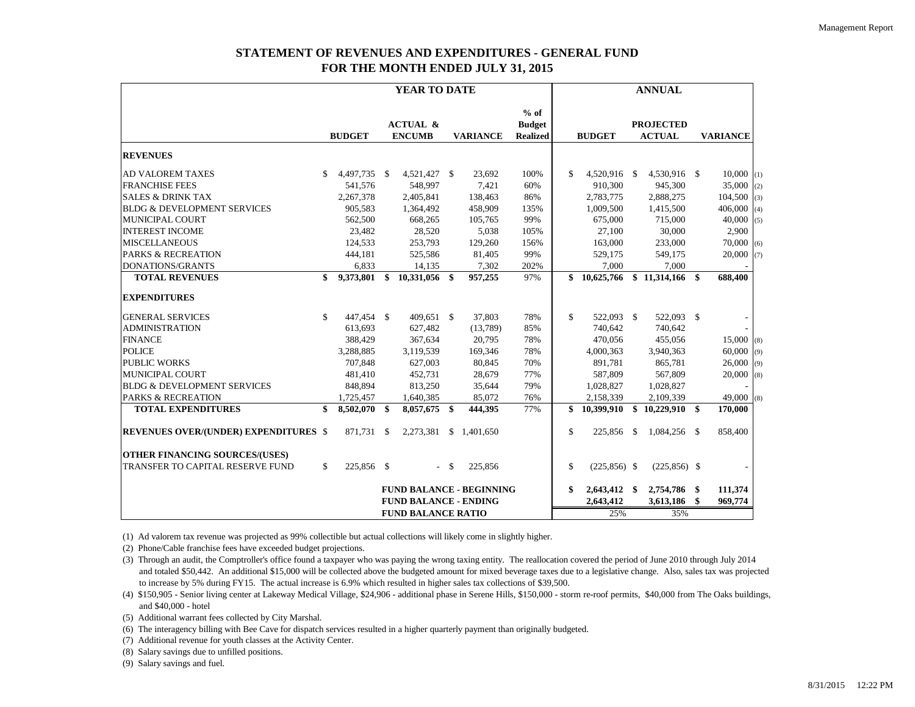# **STATEMENT OF REVENUES AND EXPENDITURES - GENERAL FUND FOR THE MONTH ENDED JULY 31, 2015**

|                                              | <b>YEAR TO DATE</b>                                             |               |      |                                      |        |                 | <b>ANNUAL</b>                              |                           |                 |                        |                                   |                    |                 |
|----------------------------------------------|-----------------------------------------------------------------|---------------|------|--------------------------------------|--------|-----------------|--------------------------------------------|---------------------------|-----------------|------------------------|-----------------------------------|--------------------|-----------------|
|                                              |                                                                 | <b>BUDGET</b> |      | <b>ACTUAL &amp;</b><br><b>ENCUMB</b> |        | <b>VARIANCE</b> | $%$ of<br><b>Budget</b><br><b>Realized</b> |                           | <b>BUDGET</b>   |                        | <b>PROJECTED</b><br><b>ACTUAL</b> |                    | <b>VARIANCE</b> |
| <b>REVENUES</b>                              |                                                                 |               |      |                                      |        |                 |                                            |                           |                 |                        |                                   |                    |                 |
| <b>AD VALOREM TAXES</b>                      | <sup>\$</sup>                                                   | 4,497,735     | - \$ | 4,521,427 \$                         |        | 23,692          | 100%                                       | $\mathcal{S}$             | 4,520,916 \$    |                        | 4,530,916 \$                      |                    | $10,000$ (1)    |
| <b>FRANCHISE FEES</b>                        |                                                                 | 541,576       |      | 548,997                              |        | 7,421           | 60%                                        |                           | 910,300         |                        | 945,300                           |                    | 35,000<br>(2)   |
| <b>SALES &amp; DRINK TAX</b>                 |                                                                 | 2,267,378     |      | 2,405,841                            |        | 138,463         | 86%                                        |                           | 2,783,775       |                        | 2,888,275                         |                    | 104,500<br>(3)  |
| <b>BLDG &amp; DEVELOPMENT SERVICES</b>       |                                                                 | 905,583       |      | 1,364,492                            |        | 458,909         | 135%                                       |                           | 1,009,500       |                        | 1,415,500                         |                    | 406,000<br>(4)  |
| <b>MUNICIPAL COURT</b>                       |                                                                 | 562,500       |      | 668,265                              |        | 105,765         | 99%                                        |                           | 675,000         |                        | 715,000                           |                    | 40,000<br>(5)   |
| <b>INTEREST INCOME</b>                       |                                                                 | 23,482        |      | 28,520                               |        | 5,038           | 105%                                       |                           | 27,100          |                        | 30,000                            |                    | 2,900           |
| <b>MISCELLANEOUS</b>                         |                                                                 | 124,533       |      | 253,793                              |        | 129,260         | 156%                                       |                           | 163,000         |                        | 233,000                           |                    | 70,000<br>(6)   |
| PARKS & RECREATION                           |                                                                 | 444,181       |      | 525,586                              |        | 81,405          | 99%                                        |                           | 529,175         |                        | 549,175                           |                    | 20,000<br>(7)   |
| DONATIONS/GRANTS                             |                                                                 | 6,833         |      | 14,135                               |        | 7,302           | 202%                                       |                           | 7,000           |                        | 7,000                             |                    |                 |
| <b>TOTAL REVENUES</b>                        | \$                                                              | 9,373,801     | \$   | 10,331,056 \$                        |        | 957,255         | 97%                                        |                           | \$10,625,766    |                        | \$11,314,166                      | \$                 | 688,400         |
| <b>EXPENDITURES</b>                          |                                                                 |               |      |                                      |        |                 |                                            |                           |                 |                        |                                   |                    |                 |
| <b>GENERAL SERVICES</b>                      | S.                                                              | 447,454 \$    |      | 409,651 \$                           |        | 37,803          | 78%                                        | $\mathbb{S}$              | 522,093 \$      |                        | 522,093 \$                        |                    |                 |
| <b>ADMINISTRATION</b>                        |                                                                 | 613.693       |      | 627.482                              |        | (13,789)        | 85%                                        |                           | 740,642         |                        | 740.642                           |                    |                 |
| <b>FINANCE</b>                               |                                                                 | 388,429       |      | 367,634                              |        | 20,795          | 78%                                        |                           | 470,056         |                        | 455,056                           |                    | 15,000<br>(8)   |
| <b>POLICE</b>                                |                                                                 | 3,288,885     |      | 3,119,539                            |        | 169,346         | 78%                                        |                           | 4,000,363       |                        | 3,940,363                         |                    | 60,000<br>(9)   |
| <b>PUBLIC WORKS</b>                          |                                                                 | 707,848       |      | 627,003                              |        | 80,845          | 70%                                        |                           | 891,781         |                        | 865,781                           |                    | 26,000<br>(9)   |
| <b>MUNICIPAL COURT</b>                       |                                                                 | 481,410       |      | 452,731                              |        | 28,679          | 77%                                        |                           | 587,809         |                        | 567,809                           |                    | 20,000<br>(8)   |
| <b>BLDG &amp; DEVELOPMENT SERVICES</b>       |                                                                 | 848,894       |      | 813,250                              |        | 35,644          | 79%                                        |                           | 1,028,827       |                        | 1,028,827                         |                    |                 |
| <b>PARKS &amp; RECREATION</b>                |                                                                 | 1,725,457     |      | 1,640,385                            |        | 85,072          | 76%                                        |                           | 2,158,339       |                        | 2,109,339                         |                    | 49,000<br>(8)   |
| <b>TOTAL EXPENDITURES</b>                    | \$                                                              | 8,502,070     | \$   | 8,057,675 \$                         |        | 444,395         | 77%                                        | \$                        | 10,399,910      | \$                     | 10,229,910                        | S.                 | 170,000         |
| <b>REVENUES OVER/(UNDER) EXPENDITURES \$</b> |                                                                 | 871,731       | S.   | 2,273,381                            |        | \$1.401,650     |                                            | \$                        | 225,856         | <sup>\$</sup>          | 1,084,256 \$                      |                    | 858,400         |
| <b>OTHER FINANCING SOURCES/(USES)</b>        |                                                                 |               |      |                                      |        |                 |                                            |                           |                 |                        |                                   |                    |                 |
| TRANSFER TO CAPITAL RESERVE FUND             | \$                                                              | 225,856 \$    |      |                                      | $-$ \$ | 225,856         |                                            | \$                        | $(225, 856)$ \$ |                        | $(225, 856)$ \$                   |                    |                 |
|                                              | <b>FUND BALANCE - BEGINNING</b><br><b>FUND BALANCE - ENDING</b> |               |      |                                      |        |                 | \$                                         | 2,643,412 \$<br>2,643,412 |                 | 2,754,786<br>3,613,186 | -S<br>\$                          | 111,374<br>969,774 |                 |
|                                              |                                                                 |               |      | <b>FUND BALANCE RATIO</b>            |        |                 |                                            |                           | 25%             |                        | 35%                               |                    |                 |

(1) Ad valorem tax revenue was projected as 99% collectible but actual collections will likely come in slightly higher.

(2) Phone/Cable franchise fees have exceeded budget projections.

(3) Through an audit, the Comptroller's office found a taxpayer who was paying the wrong taxing entity. The reallocation covered the period of June 2010 through July 2014 and totaled \$50,442. An additional \$15,000 will be collected above the budgeted amount for mixed beverage taxes due to a legislative change. Also, sales tax was projected to increase by 5% during FY15. The actual increase is 6.9% which resulted in higher sales tax collections of \$39,500.

(4) \$150,905 - Senior living center at Lakeway Medical Village, \$24,906 - additional phase in Serene Hills, \$150,000 - storm re-roof permits, \$40,000 from The Oaks buildings, and \$40,000 - hotel

(5) Additional warrant fees collected by City Marshal.

(6) The interagency billing with Bee Cave for dispatch services resulted in a higher quarterly payment than originally budgeted.

(7) Additional revenue for youth classes at the Activity Center.

(8) Salary savings due to unfilled positions.

(9) Salary savings and fuel.